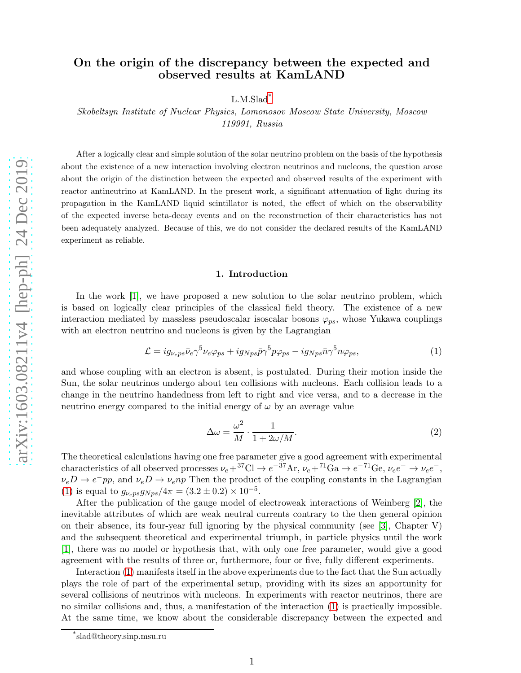## On the origin of the discrepancy between the expected and observed results at KamLAND

L.M.Slad<sup>[\\*](#page-0-0)</sup>

Skobeltsyn Institute of Nuclear Physics, Lomonosov Moscow State University, Moscow 119991, Russia

After a logically clear and simple solution of the solar neutrino problem on the basis of the hypothesis about the existence of a new interaction involving electron neutrinos and nucleons, the question arose about the origin of the distinction between the expected and observed results of the experiment with reactor antineutrino at KamLAND. In the present work, a significant attenuation of light during its propagation in the KamLAND liquid scintillator is noted, the effect of which on the observability of the expected inverse beta-decay events and on the reconstruction of their characteristics has not been adequately analyzed. Because of this, we do not consider the declared results of the KamLAND experiment as reliable.

#### 1. Introduction

In the work [\[1\]](#page-5-0), we have proposed a new solution to the solar neutrino problem, which is based on logically clear principles of the classical field theory. The existence of a new interaction mediated by massless pseudoscalar isoscalar bosons  $\varphi_{ps}$ , whose Yukawa couplings with an electron neutrino and nucleons is given by the Lagrangian

<span id="page-0-1"></span>
$$
\mathcal{L} = ig_{\nu_e p s} \bar{\nu}_e \gamma^5 \nu_e \varphi_{ps} + ig_{Nps} \bar{p} \gamma^5 p \varphi_{ps} - ig_{Nps} \bar{n} \gamma^5 n \varphi_{ps},\tag{1}
$$

and whose coupling with an electron is absent, is postulated. During their motion inside the Sun, the solar neutrinos undergo about ten collisions with nucleons. Each collision leads to a change in the neutrino handedness from left to right and vice versa, and to a decrease in the neutrino energy compared to the initial energy of  $\omega$  by an average value

$$
\Delta\omega = \frac{\omega^2}{M} \cdot \frac{1}{1 + 2\omega/M}.\tag{2}
$$

The theoretical calculations having one free parameter give a good agreement with experimental characteristics of all observed processes  $\nu_e + {}^{37}\text{Cl} \rightarrow e^{-37}\text{Ar}, \nu_e + {}^{71}\text{Ga} \rightarrow e^{-71}\text{Ge}, \nu_e e^- \rightarrow \nu_e e^-,$  $\nu_e D \to e^- pp$ , and  $\nu_e D \to \nu_e np$  Then the product of the coupling constants in the Lagrangian [\(1\)](#page-0-1) is equal to  $g_{\nu_e p s} g_{N p s} / 4\pi = (3.2 \pm 0.2) \times 10^{-5}$ .

After the publication of the gauge model of electroweak interactions of Weinberg [\[2\]](#page-5-1), the inevitable attributes of which are weak neutral currents contrary to the then general opinion on their absence, its four-year full ignoring by the physical community (see  $|3|$ , Chapter V) and the subsequent theoretical and experimental triumph, in particle physics until the work [\[1\]](#page-5-0), there was no model or hypothesis that, with only one free parameter, would give a good agreement with the results of three or, furthermore, four or five, fully different experiments.

Interaction [\(1\)](#page-0-1) manifests itself in the above experiments due to the fact that the Sun actually plays the role of part of the experimental setup, providing with its sizes an apportunity for several collisions of neutrinos with nucleons. In experiments with reactor neutrinos, there are no similar collisions and, thus, a manifestation of the interaction [\(1\)](#page-0-1) is practically impossible. At the same time, we know about the considerable discrepancy between the expected and

<span id="page-0-0"></span><sup>\*</sup> slad@theory.sinp.msu.ru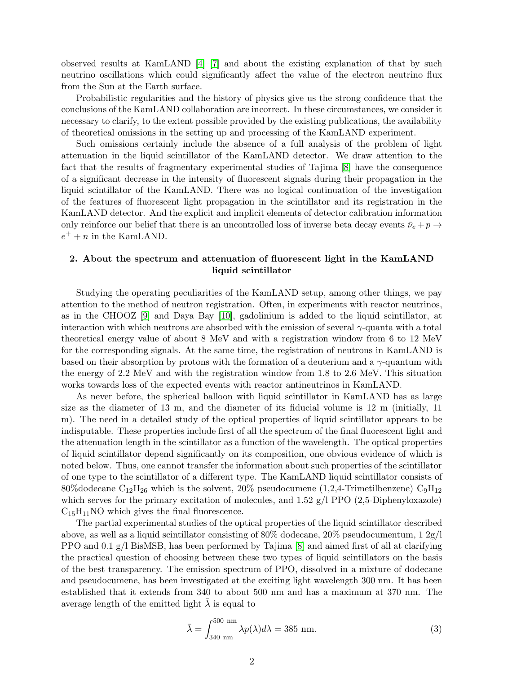observed results at KamLAND [\[4\]](#page-5-3)–[\[7\]](#page-5-4) and about the existing explanation of that by such neutrino oscillations which could significantly affect the value of the electron neutrino flux from the Sun at the Earth surface.

Probabilistic regularities and the history of physics give us the strong confidence that the conclusions of the KamLAND collaboration are incorrect. In these circumstances, we consider it necessary to clarify, to the extent possible provided by the existing publications, the availability of theoretical omissions in the setting up and processing of the KamLAND experiment.

Such omissions certainly include the absence of a full analysis of the problem of light attenuation in the liquid scintillator of the KamLAND detector. We draw attention to the fact that the results of fragmentary experimental studies of Tajima [\[8\]](#page-5-5) have the consequence of a significant decrease in the intensity of fluorescent signals during their propagation in the liquid scintillator of the KamLAND. There was no logical continuation of the investigation of the features of fluorescent light propagation in the scintillator and its registration in the KamLAND detector. And the explicit and implicit elements of detector calibration information only reinforce our belief that there is an uncontrolled loss of inverse beta decay events  $\bar{\nu}_e + p \rightarrow$  $e^+ + n$  in the KamLAND.

### 2. About the spectrum and attenuation of fluorescent light in the KamLAND liquid scintillator

Studying the operating peculiarities of the KamLAND setup, among other things, we pay attention to the method of neutron registration. Often, in experiments with reactor neutrinos, as in the CHOOZ [\[9\]](#page-5-6) and Daya Bay [\[10\]](#page-5-7), gadolinium is added to the liquid scintillator, at interaction with which neutrons are absorbed with the emission of several  $\gamma$ -quanta with a total theoretical energy value of about 8 MeV and with a registration window from 6 to 12 MeV for the corresponding signals. At the same time, the registration of neutrons in KamLAND is based on their absorption by protons with the formation of a deuterium and a  $\gamma$ -quantum with the energy of 2.2 MeV and with the registration window from 1.8 to 2.6 MeV. This situation works towards loss of the expected events with reactor antineutrinos in KamLAND.

As never before, the spherical balloon with liquid scintillator in KamLAND has as large size as the diameter of 13 m, and the diameter of its fiducial volume is 12 m (initially, 11 m). The need in a detailed study of the optical properties of liquid scintillator appears to be indisputable. These properties include first of all the spectrum of the final fluorescent light and the attenuation length in the scintillator as a function of the wavelength. The optical properties of liquid scintillator depend significantly on its composition, one obvious evidence of which is noted below. Thus, one cannot transfer the information about such properties of the scintillator of one type to the scintillator of a different type. The KamLAND liquid scintillator consists of 80% dodecane  $C_{12}H_{26}$  which is the solvent, 20% pseudocumene (1,2,4-Trimetilbenzene)  $C_{9}H_{12}$ which serves for the primary excitation of molecules, and 1.52 g/l PPO (2,5-Diphenyloxazole)  $C_{15}H_{11}NO$  which gives the final fluorescence.

The partial experimental studies of the optical properties of the liquid scintillator described above, as well as a liquid scintillator consisting of 80% dodecane, 20% pseudocumentum,  $1 \frac{2g}{l}$ PPO and 0.1 g/l BisMSB, has been performed by Tajima [\[8\]](#page-5-5) and aimed first of all at clarifying the practical question of choosing between these two types of liquid scintillators on the basis of the best transparency. The emission spectrum of PPO, dissolved in a mixture of dodecane and pseudocumene, has been investigated at the exciting light wavelength 300 nm. It has been established that it extends from 340 to about 500 nm and has a maximum at 370 nm. The average length of the emitted light  $\lambda$  is equal to

$$
\bar{\lambda} = \int_{340 \text{ nm}}^{500 \text{ nm}} \lambda p(\lambda) d\lambda = 385 \text{ nm}.
$$
 (3)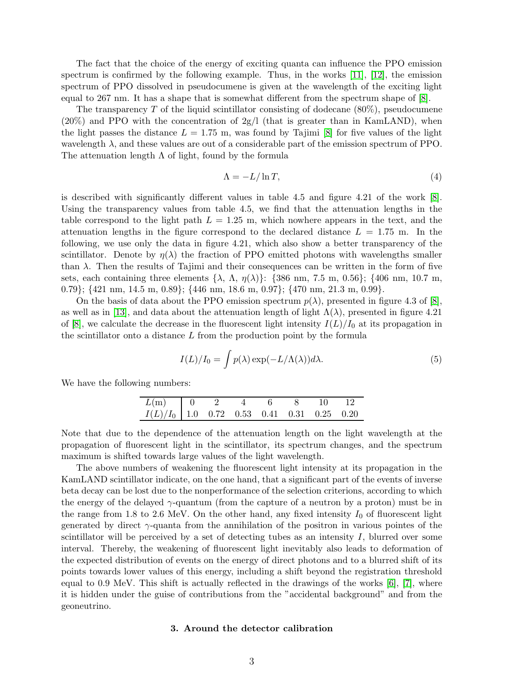The fact that the choice of the energy of exciting quanta can influence the PPO emission spectrum is confirmed by the following example. Thus, in the works [\[11\]](#page-5-8), [\[12\]](#page-5-9), the emission spectrum of PPO dissolved in pseudocumene is given at the wavelength of the exciting light equal to 267 nm. It has a shape that is somewhat different from the spectrum shape of [\[8\]](#page-5-5).

The transparency  $T$  of the liquid scintillator consisting of dodecane  $(80\%)$ , pseudocumene  $(20\%)$  and PPO with the concentration of  $2g/l$  (that is greater than in KamLAND), when the light passes the distance  $L = 1.75$  m, was found by Tajimi [\[8\]](#page-5-5) for five values of the light wavelength  $\lambda$ , and these values are out of a considerable part of the emission spectrum of PPO. The attenuation length  $\Lambda$  of light, found by the formula

$$
\Lambda = -L/\ln T,\tag{4}
$$

is described with significantly different values in table 4.5 and figure 4.21 of the work [\[8\]](#page-5-5). Using the transparency values from table 4.5, we find that the attenuation lengths in the table correspond to the light path  $L = 1.25$  m, which nowhere appears in the text, and the attenuation lengths in the figure correspond to the declared distance  $L = 1.75$  m. In the following, we use only the data in figure 4.21, which also show a better transparency of the scintillator. Denote by  $\eta(\lambda)$  the fraction of PPO emitted photons with wavelengths smaller than  $\lambda$ . Then the results of Tajimi and their consequences can be written in the form of five sets, each containing three elements  $\{\lambda, \Lambda, \eta(\lambda)\}$ :  $\{386 \text{ nm}, 7.5 \text{ m}, 0.56\}$ ;  $\{406 \text{ nm}, 10.7 \text{ m},$ 0.79}; {421 nm, 14.5 m, 0.89}; {446 nm, 18.6 m, 0.97}; {470 nm, 21.3 m, 0.99}.

On the basis of data about the PPO emission spectrum  $p(\lambda)$ , presented in figure 4.3 of [\[8\]](#page-5-5), as well as in [\[13\]](#page-5-10), and data about the attenuation length of light  $\Lambda(\lambda)$ , presented in figure 4.21 of  $|8|$ , we calculate the decrease in the fluorescent light intensity  $I(L)/I_0$  at its propagation in the scintillator onto a distance L from the production point by the formula

<span id="page-2-0"></span>
$$
I(L)/I_0 = \int p(\lambda) \exp(-L/\Lambda(\lambda)) d\lambda.
$$
 (5)

We have the following numbers:

| $L(m)$ 0 2 4 6 8 10 12                       |  |  |  |  |
|----------------------------------------------|--|--|--|--|
| $I(L)/I_0$ 1.0 0.72 0.53 0.41 0.31 0.25 0.20 |  |  |  |  |

Note that due to the dependence of the attenuation length on the light wavelength at the propagation of fluorescent light in the scintillator, its spectrum changes, and the spectrum maximum is shifted towards large values of the light wavelength.

The above numbers of weakening the fluorescent light intensity at its propagation in the KamLAND scintillator indicate, on the one hand, that a significant part of the events of inverse beta decay can be lost due to the nonperformance of the selection criterions, according to which the energy of the delayed  $\gamma$ -quantum (from the capture of a neutron by a proton) must be in the range from 1.8 to 2.6 MeV. On the other hand, any fixed intensity  $I_0$  of fluorescent light generated by direct  $\gamma$ -quanta from the annihilation of the positron in various pointes of the scintillator will be perceived by a set of detecting tubes as an intensity  $I$ , blurred over some interval. Thereby, the weakening of fluorescent light inevitably also leads to deformation of the expected distribution of events on the energy of direct photons and to a blurred shift of its points towards lower values of this energy, including a shift beyond the registration threshold equal to 0.9 MeV. This shift is actually reflected in the drawings of the works [\[6\]](#page-5-11), [\[7\]](#page-5-4), where it is hidden under the guise of contributions from the "accidental background" and from the geoneutrino.

#### 3. Around the detector calibration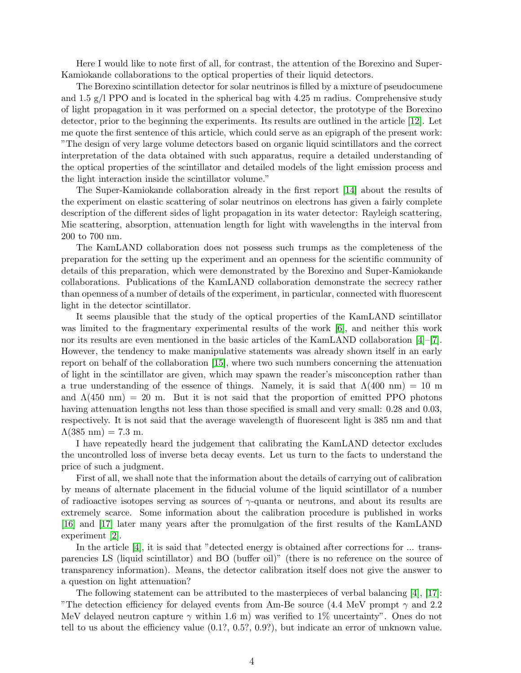Here I would like to note first of all, for contrast, the attention of the Borexino and Super-Kamiokande collaborations to the optical properties of their liquid detectors.

The Borexino scintillation detector for solar neutrinos is filled by a mixture of pseudocumene and 1.5  $g/I$  PPO and is located in the spherical bag with 4.25 m radius. Comprehensive study of light propagation in it was performed on a special detector, the prototype of the Borexino detector, prior to the beginning the experiments. Its results are outlined in the article [\[12\]](#page-5-9). Let me quote the first sentence of this article, which could serve as an epigraph of the present work: "The design of very large volume detectors based on organic liquid scintillators and the correct interpretation of the data obtained with such apparatus, require a detailed understanding of the optical properties of the scintillator and detailed models of the light emission process and the light interaction inside the scintillator volume."

The Super-Kamiokande collaboration already in the first report [\[14\]](#page-5-12) about the results of the experiment on elastic scattering of solar neutrinos on electrons has given a fairly complete description of the different sides of light propagation in its water detector: Rayleigh scattering, Mie scattering, absorption, attenuation length for light with wavelengths in the interval from 200 to 700 nm.

The KamLAND collaboration does not possess such trumps as the completeness of the preparation for the setting up the experiment and an openness for the scientific community of details of this preparation, which were demonstrated by the Borexino and Super-Kamiokande collaborations. Publications of the KamLAND collaboration demonstrate the secrecy rather than openness of a number of details of the experiment, in particular, connected with fluorescent light in the detector scintillator.

It seems plausible that the study of the optical properties of the KamLAND scintillator was limited to the fragmentary experimental results of the work [\[6\]](#page-5-11), and neither this work nor its results are even mentioned in the basic articles of the KamLAND collaboration [\[4\]](#page-5-3)–[\[7\]](#page-5-4). However, the tendency to make manipulative statements was already shown itself in an early report on behalf of the collaboration [\[15\]](#page-5-13), where two such numbers concerning the attenuation of light in the scintillator are given, which may spawn the reader's misconception rather than a true understanding of the essence of things. Namely, it is said that  $\Lambda(400 \text{ nm}) = 10 \text{ m}$ and  $\Lambda(450 \text{ nm}) = 20 \text{ m}$ . But it is not said that the proportion of emitted PPO photons having attenuation lengths not less than those specified is small and very small: 0.28 and 0.03, respectively. It is not said that the average wavelength of fluorescent light is 385 nm and that  $\Lambda(385 \text{ nm}) = 7.3 \text{ m}.$ 

I have repeatedly heard the judgement that calibrating the KamLAND detector excludes the uncontrolled loss of inverse beta decay events. Let us turn to the facts to understand the price of such a judgment.

First of all, we shall note that the information about the details of carrying out of calibration by means of alternate placement in the fiducial volume of the liquid scintillator of a number of radioactive isotopes serving as sources of  $\gamma$ -quanta or neutrons, and about its results are extremely scarce. Some information about the calibration procedure is published in works [\[16\]](#page-5-14) and [\[17\]](#page-5-15) later many years after the promulgation of the first results of the KamLAND experiment [\[2\]](#page-5-1).

In the article [\[4\]](#page-5-3), it is said that "detected energy is obtained after corrections for ... transparencies LS (liquid scintillator) and BO (buffer oil)" (there is no reference on the source of transparency information). Means, the detector calibration itself does not give the answer to a question on light attenuation?

The following statement can be attributed to the masterpieces of verbal balancing [\[4\]](#page-5-3), [\[17\]](#page-5-15): "The detection efficiency for delayed events from Am-Be source (4.4 MeV prompt  $\gamma$  and 2.2 MeV delayed neutron capture  $\gamma$  within 1.6 m) was verified to 1% uncertainty". Ones do not tell to us about the efficiency value (0.1?, 0.5?, 0.9?), but indicate an error of unknown value.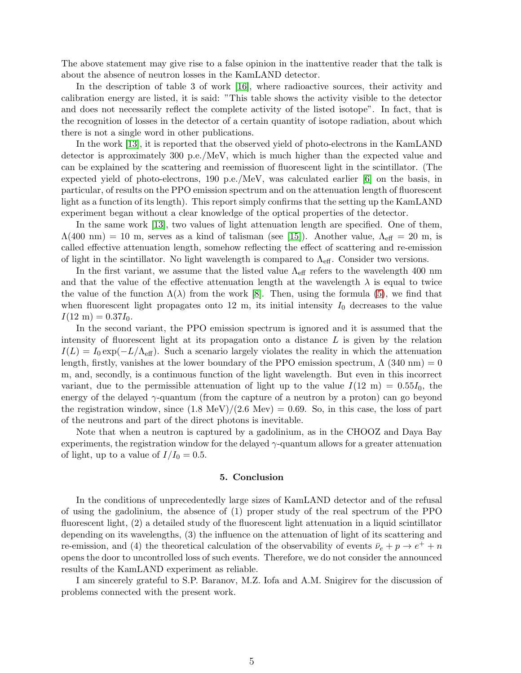The above statement may give rise to a false opinion in the inattentive reader that the talk is about the absence of neutron losses in the KamLAND detector.

In the description of table 3 of work [\[16\]](#page-5-14), where radioactive sources, their activity and calibration energy are listed, it is said: "This table shows the activity visible to the detector and does not necessarily reflect the complete activity of the listed isotope". In fact, that is the recognition of losses in the detector of a certain quantity of isotope radiation, about which there is not a single word in other publications.

In the work [\[13\]](#page-5-10), it is reported that the observed yield of photo-electrons in the KamLAND detector is approximately 300 p.e./MeV, which is much higher than the expected value and can be explained by the scattering and reemission of fluorescent light in the scintillator. (The expected yield of photo-electrons, 190 p.e./MeV, was calculated earlier [\[6\]](#page-5-11) on the basis, in particular, of results on the PPO emission spectrum and on the attenuation length of fluorescent light as a function of its length). This report simply confirms that the setting up the KamLAND experiment began without a clear knowledge of the optical properties of the detector.

In the same work [\[13\]](#page-5-10), two values of light attenuation length are specified. One of them,  $\Lambda(400 \text{ nm}) = 10 \text{ m}$ , serves as a kind of talisman (see [\[15\]](#page-5-13)). Another value,  $\Lambda_{\text{eff}} = 20 \text{ m}$ , is called effective attenuation length, somehow reflecting the effect of scattering and re-emission of light in the scintillator. No light wavelength is compared to  $\Lambda_{\text{eff}}$ . Consider two versions.

In the first variant, we assume that the listed value  $\Lambda_{\text{eff}}$  refers to the wavelength 400 nm and that the value of the effective attenuation length at the wavelength  $\lambda$  is equal to twice the value of the function  $\Lambda(\lambda)$  from the work [\[8\]](#page-5-5). Then, using the formula [\(5\)](#page-2-0), we find that when fluorescent light propagates onto 12 m, its initial intensity  $I_0$  decreases to the value  $I(12 \text{ m}) = 0.37 I_0.$ 

In the second variant, the PPO emission spectrum is ignored and it is assumed that the intensity of fluorescent light at its propagation onto a distance  $L$  is given by the relation  $I(L) = I_0 \exp(-L/\Lambda_{\text{eff}})$ . Such a scenario largely violates the reality in which the attenuation length, firstly, vanishes at the lower boundary of the PPO emission spectrum,  $\Lambda$  (340 nm) = 0 m, and, secondly, is a continuous function of the light wavelength. But even in this incorrect variant, due to the permissible attenuation of light up to the value  $I(12 \text{ m}) = 0.55I_0$ , the energy of the delayed  $\gamma$ -quantum (from the capture of a neutron by a proton) can go beyond the registration window, since  $(1.8 \text{ MeV})/(2.6 \text{ Mev}) = 0.69$ . So, in this case, the loss of part of the neutrons and part of the direct photons is inevitable.

Note that when a neutron is captured by a gadolinium, as in the CHOOZ and Daya Bay experiments, the registration window for the delayed  $\gamma$ -quantum allows for a greater attenuation of light, up to a value of  $I/I_0 = 0.5$ .

#### 5. Conclusion

In the conditions of unprecedentedly large sizes of KamLAND detector and of the refusal of using the gadolinium, the absence of (1) proper study of the real spectrum of the PPO fluorescent light, (2) a detailed study of the fluorescent light attenuation in a liquid scintillator depending on its wavelengths, (3) the influence on the attenuation of light of its scattering and re-emission, and (4) the theoretical calculation of the observability of events  $\bar{\nu}_e + p \rightarrow e^+ + n$ opens the door to uncontrolled loss of such events. Therefore, we do not consider the announced results of the KamLAND experiment as reliable.

I am sincerely grateful to S.P. Baranov, M.Z. Iofa and A.M. Snigirev for the discussion of problems connected with the present work.